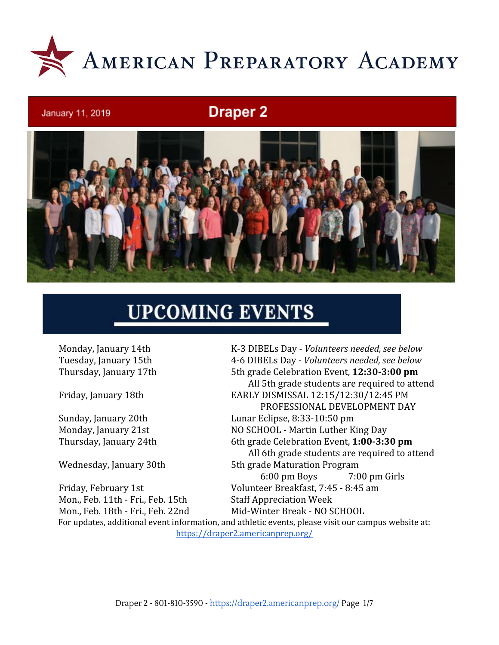

# **Draper 2**



# **UPCOMING EVENTS**

January 11, 2019

Mon., Feb. 11th - Fri., Feb. 15th Staff Appreciation Week

Monday, January 14th K-3 DIBELs Day - *Volunteers needed, see below* Tuesday, January 15th 4-6 DIBELs Day - *Volunteers needed, see below* Thursday, January 17th 5th grade Celebration Event, **12:30-3:00 pm** All 5th grade students are required to attend Friday, January 18th EARLY DISMISSAL 12:15/12:30/12:45 PM PROFESSIONAL DEVELOPMENT DAY Sunday, January 20th Lunar Eclipse, 8:33-10:50 pm Monday, January 21st NO SCHOOL - Martin Luther King Day Thursday, January 24th 6th grade Celebration Event, **1:00-3:30 pm** All 6th grade students are required to attend Wednesday, January 30th 5th grade Maturation Program 6:00 pm Boys 7:00 pm Girls Friday, February 1st Volunteer Breakfast, 7:45 - 8:45 am Mon., Feb. 18th - Fri., Feb. 22nd Mid-Winter Break - NO SCHOOL For updates, additional event information, and athletic events, please visit our campus website at:

<https://draper2.americanprep.org/>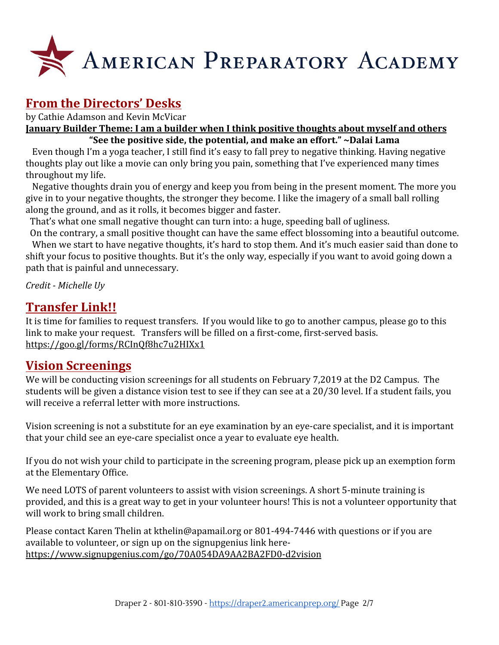

# **From the Directors' Desks**

by Cathie Adamson and Kevin McVicar

**January Builder Theme: I am a builder when I think positive thoughts about myself and others "See the positive side, the potential, and make an effort." ~Dalai Lama**

 Even though I'm a yoga teacher, I still find it's easy to fall prey to negative thinking. Having negative thoughts play out like a movie can only bring you pain, something that I've experienced many times throughout my life.

 Negative thoughts drain you of energy and keep you from being in the present moment. The more you give in to your negative thoughts, the stronger they become. I like the imagery of a small ball rolling along the ground, and as it rolls, it becomes bigger and faster.

That's what one small negative thought can turn into: a huge, speeding ball of ugliness.

 On the contrary, a small positive thought can have the same effect blossoming into a beautiful outcome. When we start to have negative thoughts, it's hard to stop them. And it's much easier said than done to shift your focus to positive thoughts. But it's the only way, especially if you want to avoid going down a path that is painful and unnecessary.

*Credit - Michelle Uy*

### **Transfer Link!!**

It is time for families to request transfers. If you would like to go to another campus, please go to this link to make your request. Transfers will be filled on a first-come, first-served basis. <https://goo.gl/forms/RCInQf8hc7u2HIXx1>

### **Vision Screenings**

We will be conducting vision screenings for all students on February 7,2019 at the D2 Campus. The students will be given a distance vision test to see if they can see at a 20/30 level. If a student fails, you will receive a referral letter with more instructions.

Vision screening is not a substitute for an eye examination by an eye-care specialist, and it is important that your child see an eye-care specialist once a year to evaluate eye health.

If you do not wish your child to participate in the screening program, please pick up an exemption form at the Elementary Office.

We need LOTS of parent volunteers to assist with vision screenings. A short 5-minute training is provided, and this is a great way to get in your volunteer hours! This is not a volunteer opportunity that will work to bring small children.

Please contact Karen Thelin at kthelin@apamail.org or 801-494-7446 with questions or if you are available to volunteer, or sign up on the signupgenius link here<https://www.signupgenius.com/go/70A054DA9AA2BA2FD0-d2vision>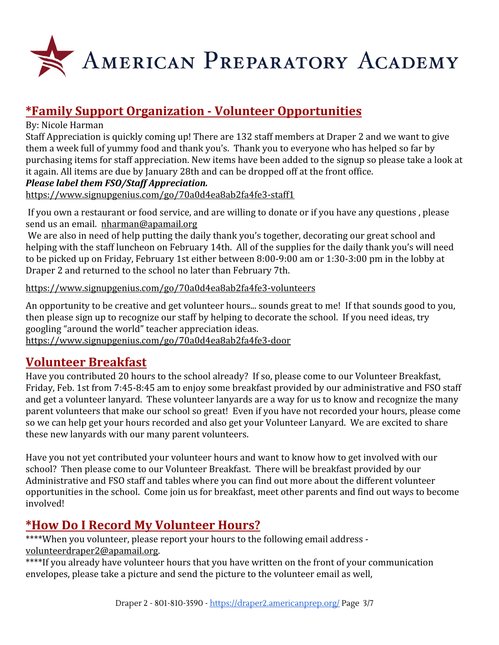

# **\*Family Support Organization - Volunteer Opportunities**

#### By: Nicole Harman

Staff Appreciation is quickly coming up! There are 132 staff members at Draper 2 and we want to give them a week full of yummy food and thank you's. Thank you to everyone who has helped so far by purchasing items for staff appreciation. New items have been added to the signup so please take a look at it again. All items are due by January 28th and can be dropped off at the front office.

#### *Please label them FSO/Staff Appreciation.*

<https://www.signupgenius.com/go/70a0d4ea8ab2fa4fe3-staff1>

 If you own a restaurant or food service, and are willing to donate or if you have any questions , please send us an email. [nharman@apamail.org](mailto:nharman@apamail.org)

We are also in need of help putting the daily thank you's together, decorating our great school and helping with the staff luncheon on February 14th. All of the supplies for the daily thank you's will need to be picked up on Friday, February 1st either between 8:00-9:00 am or 1:30-3:00 pm in the lobby at Draper 2 and returned to the school no later than February 7th.

#### <https://www.signupgenius.com/go/70a0d4ea8ab2fa4fe3-volunteers>

An opportunity to be creative and get volunteer hours... sounds great to me! If that sounds good to you, then please sign up to recognize our staff by helping to decorate the school. If you need ideas, try googling "around the world" teacher appreciation ideas. <https://www.signupgenius.com/go/70a0d4ea8ab2fa4fe3-door>

## **Volunteer Breakfast**

Have you contributed 20 hours to the school already? If so, please come to our Volunteer Breakfast, Friday, Feb. 1st from 7:45-8:45 am to enjoy some breakfast provided by our administrative and FSO staff and get a volunteer lanyard. These volunteer lanyards are a way for us to know and recognize the many parent volunteers that make our school so great! Even if you have not recorded your hours, please come so we can help get your hours recorded and also get your Volunteer Lanyard. We are excited to share these new lanyards with our many parent volunteers.

Have you not yet contributed your volunteer hours and want to know how to get involved with our school? Then please come to our Volunteer Breakfast. There will be breakfast provided by our Administrative and FSO staff and tables where you can find out more about the different volunteer opportunities in the school. Come join us for breakfast, meet other parents and find out ways to become involved!

# **\*How Do I Record My Volunteer Hours?**

\*\*\*\*When you volunteer, please report your hours to the following email address [volunteerdraper2@apamail.org](mailto:volunteerdraper2@apamail.org).

\*\*\*\*If you already have volunteer hours that you have written on the front of your communication envelopes, please take a picture and send the picture to the volunteer email as well,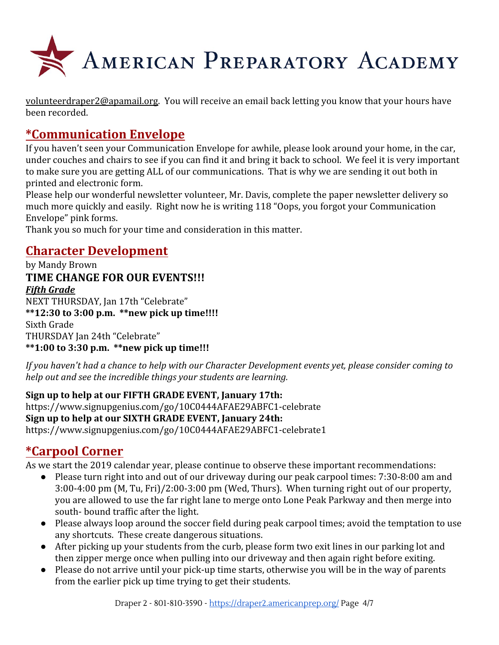

[volunteerdraper2@apamail.org](mailto:volunteerdraper2@apamail.org). You will receive an email back letting you know that your hours have been recorded.

# **\*Communication Envelope**

If you haven't seen your Communication Envelope for awhile, please look around your home, in the car, under couches and chairs to see if you can find it and bring it back to school. We feel it is very important to make sure you are getting ALL of our communications. That is why we are sending it out both in printed and electronic form.

Please help our wonderful newsletter volunteer, Mr. Davis, complete the paper newsletter delivery so much more quickly and easily. Right now he is writing 118 "Oops, you forgot your Communication Envelope" pink forms.

Thank you so much for your time and consideration in this matter.

# **Character Development**

by Mandy Brown **TIME CHANGE FOR OUR EVENTS!!!** *Fifth Grade* NEXT THURSDAY, Jan 17th "Celebrate" **\*\*12:30 to 3:00 p.m. \*\*new pick up time!!!!** Sixth Grade THURSDAY Jan 24th "Celebrate" **\*\*1:00 to 3:30 p.m. \*\*new pick up time!!!**

*If you haven't had a chance to help with our Character Development events yet, please consider coming to help out and see the incredible things your students are learning.*

#### **Sign up to help at our FIFTH GRADE EVENT, January 17th:**

<https://www.signupgenius.com/go/10C0444AFAE29ABFC1-celebrate> **Sign up to help at our SIXTH GRADE EVENT, January 24th:** <https://www.signupgenius.com/go/10C0444AFAE29ABFC1-celebrate1>

# **\*Carpool Corner**

As we start the 2019 calendar year, please continue to observe these important recommendations:

- Please turn right into and out of our driveway during our peak carpool times: 7:30-8:00 am and 3:00-4:00 pm (M, Tu, Fri)/2:00-3:00 pm (Wed, Thurs). When turning right out of our property, you are allowed to use the far right lane to merge onto Lone Peak Parkway and then merge into south- bound traffic after the light.
- Please always loop around the soccer field during peak carpool times; avoid the temptation to use any shortcuts. These create dangerous situations.
- After picking up your students from the curb, please form two exit lines in our parking lot and then zipper merge once when pulling into our driveway and then again right before exiting.
- Please do not arrive until your pick-up time starts, otherwise you will be in the way of parents from the earlier pick up time trying to get their students.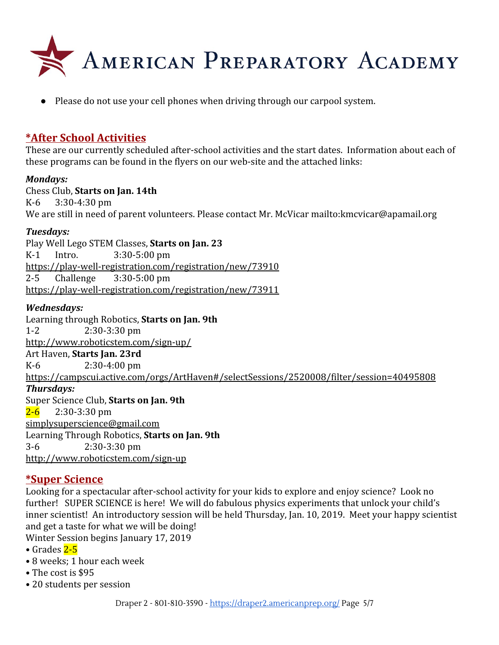

● Please do not use your cell phones when driving through our carpool system.

#### **\*After School Activities**

These are our currently scheduled after-school activities and the start dates. Information about each of these programs can be found in the flyers on our web-site and the attached links:

#### *Mondays:*

Chess Club, **Starts on Jan. 14th** K-6 3:30-4:30 pm We are still in need of parent volunteers. Please contact Mr. McVicar <mailto:kmcvicar@apamail.org>

#### *Tuesdays:*

Play Well Lego STEM Classes, **Starts on Jan. 23** K-1 Intro. 3:30-5:00 pm <https://play-well-registration.com/registration/new/73910> 2-5 Challenge 3:30-5:00 pm <https://play-well-registration.com/registration/new/73911>

#### *Wednesdays:*

Learning through Robotics, **Starts on Jan. 9th** 1-2 2:30-3:30 pm <http://www.roboticstem.com/sign-up/> Art Haven, **Starts Jan. 23rd** K-6 2:30-4:00 pm <https://campscui.active.com/orgs/ArtHaven#/selectSessions/2520008/filter/session=40495808> *Thursdays:* Super Science Club, **Starts on Jan. 9th**  $2-6$  2:30-3:30 pm [simplysuperscience@gmail.com](mailto:simplysuperscience@gmail.com) Learning Through Robotics, **Starts on Jan. 9th** 3-6 2:30-3:30 pm [http://www.roboticstem.com/sign-up](http://www.roboticstem.com/sign-up/)

#### **\*Super Science**

Looking for a spectacular after-school activity for your kids to explore and enjoy science? Look no further! SUPER SCIENCE is here! We will do fabulous physics experiments that unlock your child's inner scientist! An introductory session will be held Thursday, Jan. 10, 2019. Meet your happy scientist and get a taste for what we will be doing!

- Winter Session begins January 17, 2019
- Grades  $2-5$
- 8 weeks; 1 hour each week
- The cost is \$95
- 20 students per session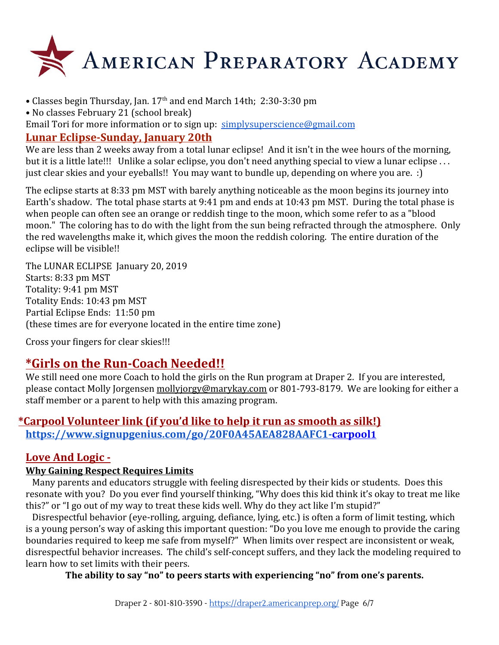

- Classes begin Thursday, Jan. 17<sup>th</sup> and end March 14th; 2:30-3:30 pm
- No classes February 21 (school break)

Email Tori for more information or to sign up: [simplysuperscience@gmail.com](mailto:simplysuperscience@gmail.com)

#### **Lunar Eclipse-Sunday, January 20th**

We are less than 2 weeks away from a total lunar eclipse! And it isn't in the wee hours of the morning, but it is a little late!!! Unlike a solar eclipse, you don't need anything special to view a lunar eclipse . . . just clear skies and your eyeballs!! You may want to bundle up, depending on where you are. :)

The eclipse starts at 8:33 pm MST with barely anything noticeable as the moon begins its journey into Earth's shadow. The total phase starts at 9:41 pm and ends at 10:43 pm MST. During the total phase is when people can often see an orange or reddish tinge to the moon, which some refer to as a "blood moon." The coloring has to do with the light from the sun being refracted through the atmosphere. Only the red wavelengths make it, which gives the moon the reddish coloring. The entire duration of the eclipse will be visible!!

The LUNAR ECLIPSE January 20, 2019 Starts: 8:33 pm MST Totality: 9:41 pm MST Totality Ends: 10:43 pm MST Partial Eclipse Ends: 11:50 pm (these times are for everyone located in the entire time zone)

Cross your fingers for clear skies!!!

## **\*Girls on the Run-Coach Needed!!**

We still need one more Coach to hold the girls on the Run program at Draper 2. If you are interested, please contact Molly Jorgensen [mollyjorgy@marykay.com](mailto:mollyjorgy@marykay.com) or 801-793-8179. We are looking for either a staff member or a parent to help with this amazing program.

#### **\*Carpool Volunteer link (if you'd like to help it run as smooth as silk!) [https://www.signupgenius.com/go/20F0A45AEA828AAFC1-carpool](https://www.signupgenius.com/go/20F0A45AEA828AAFC1-carpool1)1**

#### **Love And Logic -**

#### **Why Gaining Respect Requires Limits**

 Many parents and educators struggle with feeling disrespected by their kids or students. Does this resonate with you? Do you ever find yourself thinking, "Why does this kid think it's okay to treat me like this?" or "I go out of my way to treat these kids well. Why do they act like I'm stupid?"

 Disrespectful behavior (eye-rolling, arguing, defiance, lying, etc.) is often a form of limit testing, which is a young person's way of asking this important question: "Do you love me enough to provide the caring boundaries required to keep me safe from myself?" When limits over respect are inconsistent or weak, disrespectful behavior increases. The child's self-concept suffers, and they lack the modeling required to learn how to set limits with their peers.

**The ability to say "no" to peers starts with experiencing "no" from one's parents.**